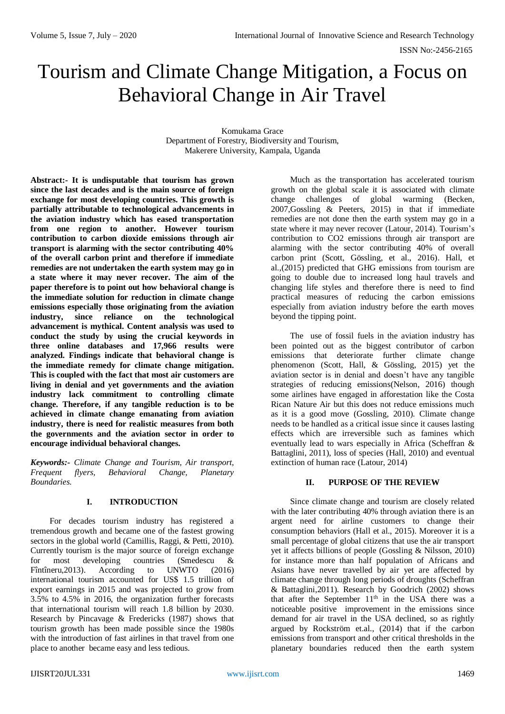# Tourism and Climate Change Mitigation, a Focus on Behavioral Change in Air Travel

Komukama Grace Department of Forestry, Biodiversity and Tourism, Makerere University, Kampala, Uganda

**Abstract:- It is undisputable that tourism has grown since the last decades and is the main source of foreign exchange for most developing countries. This growth is partially attributable to technological advancements in the aviation industry which has eased transportation from one region to another. However tourism contribution to carbon dioxide emissions through air transport is alarming with the sector contributing 40% of the overall carbon print and therefore if immediate remedies are not undertaken the earth system may go in a state where it may never recover. The aim of the paper therefore is to point out how behavioral change is the immediate solution for reduction in climate change emissions especially those originating from the aviation industry, since reliance on the technological advancement is mythical. Content analysis was used to conduct the study by using the crucial keywords in three online databases and 17,966 results were analyzed. Findings indicate that behavioral change is the immediate remedy for climate change mitigation. This is coupled with the fact that most air customers are living in denial and yet governments and the aviation industry lack commitment to controlling climate change. Therefore, if any tangible reduction is to be achieved in climate change emanating from aviation industry, there is need for realistic measures from both the governments and the aviation sector in order to encourage individual behavioral changes.**

*Keywords:- Climate Change and Tourism, Air transport, Frequent flyers, Behavioral Change, Planetary Boundaries.*

#### **I. INTRODUCTION**

For decades tourism industry has registered a tremendous growth and became one of the fastest growing sectors in the global world (Camillis, Raggi, & Petti, 2010). Currently tourism is the major source of foreign exchange for most developing countries (Smedescu & Fintineru, 2013). According to UNWTO (2016) Fîntîneru,2013). According to UNWTO (2016) international tourism accounted for US\$ 1.5 trillion of export earnings in 2015 and was projected to grow from 3.5% to 4.5% in 2016, the organization further forecasts that international tourism will reach 1.8 billion by 2030. Research by Pincavage & Fredericks (1987) shows that tourism growth has been made possible since the 1980s with the introduction of fast airlines in that travel from one place to another became easy and less tedious.

Much as the transportation has accelerated tourism growth on the global scale it is associated with climate change challenges of global warming (Becken, 2007,Gossling & Peeters, 2015) in that if immediate remedies are not done then the earth system may go in a state where it may never recover (Latour, 2014). Tourism's contribution to CO2 emissions through air transport are alarming with the sector contributing 40% of overall carbon print (Scott, Gössling, et al., 2016). Hall, et al.,(2015) predicted that GHG emissions from tourism are going to double due to increased long haul travels and changing life styles and therefore there is need to find practical measures of reducing the carbon emissions especially from aviation industry before the earth moves beyond the tipping point.

The use of fossil fuels in the aviation industry has been pointed out as the biggest contributor of carbon emissions that deteriorate further climate change phenomenon (Scott, Hall, & Gössling, 2015) yet the aviation sector is in denial and doesn't have any tangible strategies of reducing emissions(Nelson, 2016) though some airlines have engaged in afforestation like the Costa Rican Nature Air but this does not reduce emissions much as it is a good move (Gossling, 2010). Climate change needs to be handled as a critical issue since it causes lasting effects which are irreversible such as famines which eventually lead to wars especially in Africa (Scheffran & Battaglini, 2011), loss of species (Hall, 2010) and eventual extinction of human race (Latour, 2014)

# **II. PURPOSE OF THE REVIEW**

Since climate change and tourism are closely related with the later contributing 40% through aviation there is an argent need for airline customers to change their consumption behaviors (Hall et al., 2015). Moreover it is a small percentage of global citizens that use the air transport yet it affects billions of people (Gossling & Nilsson, 2010) for instance more than half population of Africans and Asians have never travelled by air yet are affected by climate change through long periods of droughts (Scheffran & Battaglini,2011). Research by Goodrich (2002) shows that after the September  $11<sup>th</sup>$  in the USA there was a noticeable positive improvement in the emissions since demand for air travel in the USA declined, so as rightly argued by Rockström et.al., (2014) that if the carbon emissions from transport and other critical thresholds in the planetary boundaries reduced then the earth system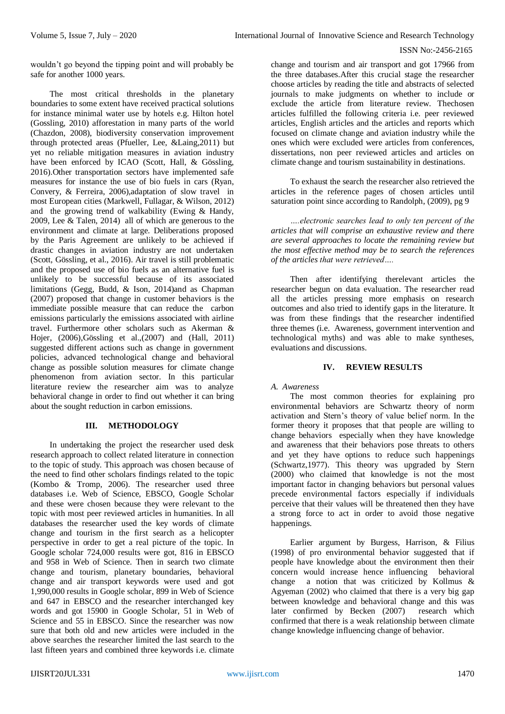wouldn't go beyond the tipping point and will probably be safe for another 1000 years.

The most critical thresholds in the planetary boundaries to some extent have received practical solutions for instance minimal water use by hotels e.g. Hilton hotel (Gossling, 2010) afforestation in many parts of the world (Chazdon, 2008), biodiversity conservation improvement through protected areas (Pfueller, Lee, &Laing,2011) but yet no reliable mitigation measures in aviation industry have been enforced by ICAO (Scott, Hall, & Gössling, 2016).Other transportation sectors have implemented safe measures for instance the use of bio fuels in cars (Ryan, Convery, & Ferreira, 2006),adaptation of slow travel in most European cities (Markwell, Fullagar, & Wilson, 2012) and the growing trend of walkability (Ewing & Handy, 2009, Lee & Talen, 2014) all of which are generous to the environment and climate at large. Deliberations proposed by the Paris Agreement are unlikely to be achieved if drastic changes in aviation industry are not undertaken (Scott, Gössling, et al., 2016). Air travel is still problematic and the proposed use of bio fuels as an alternative fuel is unlikely to be successful because of its associated limitations (Gegg, Budd, & Ison, 2014)and as Chapman (2007) proposed that change in customer behaviors is the immediate possible measure that can reduce the carbon emissions particularly the emissions associated with airline travel. Furthermore other scholars such as Akerman & Hojer, (2006),Gössling et al.,(2007) and (Hall, 2011) suggested different actions such as change in government policies, advanced technological change and behavioral change as possible solution measures for climate change phenomenon from aviation sector. In this particular literature review the researcher aim was to analyze behavioral change in order to find out whether it can bring about the sought reduction in carbon emissions.

# **III. METHODOLOGY**

In undertaking the project the researcher used desk research approach to collect related literature in connection to the topic of study. This approach was chosen because of the need to find other scholars findings related to the topic (Kombo & Tromp, 2006). The researcher used three databases i.e. Web of Science, EBSCO, Google Scholar and these were chosen because they were relevant to the topic with most peer reviewed articles in humanities. In all databases the researcher used the key words of climate change and tourism in the first search as a helicopter perspective in order to get a real picture of the topic. In Google scholar 724,000 results were got, 816 in EBSCO and 958 in Web of Science. Then in search two climate change and tourism, planetary boundaries, behavioral change and air transport keywords were used and got 1,990,000 results in Google scholar, 899 in Web of Science and 647 in EBSCO and the researcher interchanged key words and got 15900 in Google Scholar, 51 in Web of Science and 55 in EBSCO. Since the researcher was now sure that both old and new articles were included in the above searches the researcher limited the last search to the last fifteen years and combined three keywords i.e. climate

change and tourism and air transport and got 17966 from the three databases.After this crucial stage the researcher choose articles by reading the title and abstracts of selected journals to make judgments on whether to include or exclude the article from literature review. Thechosen articles fulfilled the following criteria i.e. peer reviewed articles, English articles and the articles and reports which focused on climate change and aviation industry while the ones which were excluded were articles from conferences, dissertations, non peer reviewed articles and articles on climate change and tourism sustainability in destinations.

To exhaust the search the researcher also retrieved the articles in the reference pages of chosen articles until saturation point since according to Randolph, (2009), pg 9

*….electronic searches lead to only ten percent of the articles that will comprise an exhaustive review and there are several approaches to locate the remaining review but the most effective method may be to search the references of the articles that were retrieved….*

Then after identifying therelevant articles the researcher begun on data evaluation. The researcher read all the articles pressing more emphasis on research outcomes and also tried to identify gaps in the literature. It was from these findings that the researcher indentified three themes (i.e. Awareness, government intervention and technological myths) and was able to make syntheses, evaluations and discussions.

# **IV. REVIEW RESULTS**

# *A. Awareness*

The most common theories for explaining pro environmental behaviors are Schwartz theory of norm activation and Stern's theory of value belief norm. In the former theory it proposes that that people are willing to change behaviors especially when they have knowledge and awareness that their behaviors pose threats to others and yet they have options to reduce such happenings (Schwartz,1977). This theory was upgraded by Stern (2000) who claimed that knowledge is not the most important factor in changing behaviors but personal values precede environmental factors especially if individuals perceive that their values will be threatened then they have a strong force to act in order to avoid those negative happenings.

Earlier argument by Burgess, Harrison, & Filius (1998) of pro environmental behavior suggested that if people have knowledge about the environment then their concern would increase hence influencing behavioral change a notion that was criticized by Kollmus & Agyeman (2002) who claimed that there is a very big gap between knowledge and behavioral change and this was later confirmed by Becken (2007) research which confirmed that there is a weak relationship between climate change knowledge influencing change of behavior.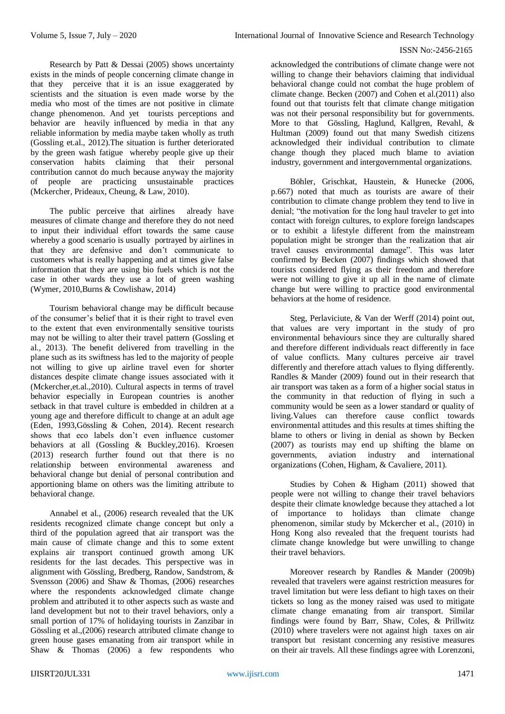Research by Patt & Dessai (2005) shows uncertainty exists in the minds of people concerning climate change in that they perceive that it is an issue exaggerated by scientists and the situation is even made worse by the media who most of the times are not positive in climate change phenomenon. And yet tourists perceptions and behavior are heavily influenced by media in that any reliable information by media maybe taken wholly as truth (Gossling et.al., 2012).The situation is further deteriorated by the green wash fatigue whereby people give up their conservation habits claiming that their personal contribution cannot do much because anyway the majority of people are practicing unsustainable practices (Mckercher, Prideaux, Cheung, & Law, 2010).

The public perceive that airlines already have measures of climate change and therefore they do not need to input their individual effort towards the same cause whereby a good scenario is usually portrayed by airlines in that they are defensive and don't communicate to customers what is really happening and at times give false information that they are using bio fuels which is not the case in other wards they use a lot of green washing (Wymer, 2010,Burns & Cowlishaw, 2014)

Tourism behavioral change may be difficult because of the consumer's belief that it is their right to travel even to the extent that even environmentally sensitive tourists may not be willing to alter their travel pattern (Gossling et al., 2013). The benefit delivered from travelling in the plane such as its swiftness has led to the majority of people not willing to give up airline travel even for shorter distances despite climate change issues associated with it (Mckercher,et.al.,2010). Cultural aspects in terms of travel behavior especially in European countries is another setback in that travel culture is embedded in children at a young age and therefore difficult to change at an adult age (Eden, 1993,Gössling & Cohen, 2014). Recent research shows that eco labels don't even influence customer behaviors at all (Gossling & Buckley,2016). Kroesen (2013) research further found out that there is no relationship between environmental awareness and behavioral change but denial of personal contribution and apportioning blame on others was the limiting attribute to behavioral change.

Annabel et al., (2006) research revealed that the UK residents recognized climate change concept but only a third of the population agreed that air transport was the main cause of climate change and this to some extent explains air transport continued growth among UK residents for the last decades. This perspective was in alignment with Gössling, Bredberg, Randow, Sandstrom, & Svensson (2006) and Shaw & Thomas, (2006) researches where the respondents acknowledged climate change problem and attributed it to other aspects such as waste and land development but not to their travel behaviors, only a small portion of 17% of holidaying tourists in Zanzibar in Gössling et al.,(2006) research attributed climate change to green house gases emanating from air transport while in Shaw & Thomas (2006) a few respondents who

acknowledged the contributions of climate change were not willing to change their behaviors claiming that individual behavioral change could not combat the huge problem of climate change. Becken (2007) and Cohen et al.(2011) also found out that tourists felt that climate change mitigation was not their personal responsibility but for governments. More to that Gössling, Haglund, Kallgren, Revahl, & Hultman (2009) found out that many Swedish citizens acknowledged their individual contribution to climate change though they placed much blame to aviation industry, government and intergovernmental organizations.

Böhler, Grischkat, Haustein, & Hunecke (2006, p.667) noted that much as tourists are aware of their contribution to climate change problem they tend to live in denial; "the motivation for the long haul traveler to get into contact with foreign cultures, to explore foreign landscapes or to exhibit a lifestyle different from the mainstream population might be stronger than the realization that air travel causes environmental damage". This was later confirmed by Becken (2007) findings which showed that tourists considered flying as their freedom and therefore were not willing to give it up all in the name of climate change but were willing to practice good environmental behaviors at the home of residence.

Steg, Perlaviciute, & Van der Werff (2014) point out, that values are very important in the study of pro environmental behaviours since they are culturally shared and therefore different individuals react differently in face of value conflicts. Many cultures perceive air travel differently and therefore attach values to flying differently. Randles & Mander (2009) found out in their research that air transport was taken as a form of a higher social status in the community in that reduction of flying in such a community would be seen as a lower standard or quality of living.Values can therefore cause conflict towards environmental attitudes and this results at times shifting the blame to others or living in denial as shown by Becken (2007) as tourists may end up shifting the blame on governments, aviation industry and international organizations (Cohen, Higham, & Cavaliere, 2011).

Studies by Cohen & Higham (2011) showed that people were not willing to change their travel behaviors despite their climate knowledge because they attached a lot of importance to holidays than climate change phenomenon, similar study by Mckercher et al., (2010) in Hong Kong also revealed that the frequent tourists had climate change knowledge but were unwilling to change their travel behaviors.

Moreover research by Randles & Mander (2009b) revealed that travelers were against restriction measures for travel limitation but were less defiant to high taxes on their tickets so long as the money raised was used to mitigate climate change emanating from air transport. Similar findings were found by Barr, Shaw, Coles, & Prillwitz (2010) where travelers were not against high taxes on air transport but resistant concerning any resistive measures on their air travels. All these findings agree with Lorenzoni,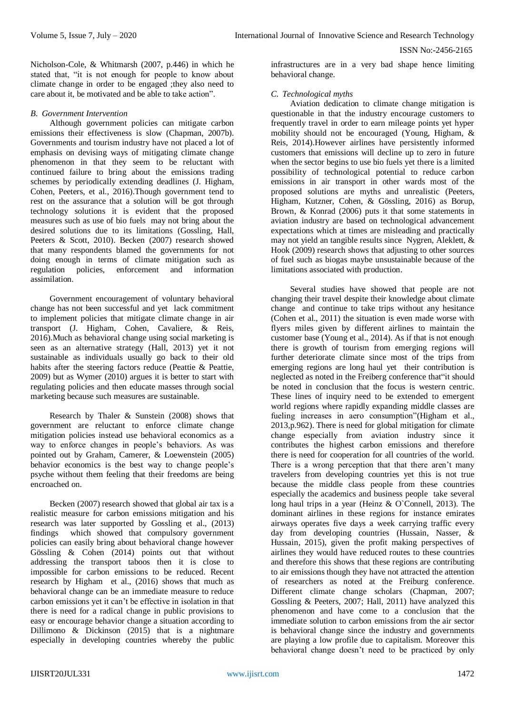Nicholson-Cole, & Whitmarsh (2007, p.446) in which he stated that, "it is not enough for people to know about climate change in order to be engaged ;they also need to care about it, be motivated and be able to take action".

## *B. Government Intervention*

Although government policies can mitigate carbon emissions their effectiveness is slow (Chapman, 2007b). Governments and tourism industry have not placed a lot of emphasis on devising ways of mitigating climate change phenomenon in that they seem to be reluctant with continued failure to bring about the emissions trading schemes by periodically extending deadlines (J. Higham, Cohen, Peeters, et al., 2016).Though government tend to rest on the assurance that a solution will be got through technology solutions it is evident that the proposed measures such as use of bio fuels may not bring about the desired solutions due to its limitations (Gossling, Hall, Peeters & Scott, 2010). Becken (2007) research showed that many respondents blamed the governments for not doing enough in terms of climate mitigation such as regulation policies, enforcement and information assimilation.

Government encouragement of voluntary behavioral change has not been successful and yet lack commitment to implement policies that mitigate climate change in air transport (J. Higham, Cohen, Cavaliere, & Reis, 2016).Much as behavioral change using social marketing is seen as an alternative strategy (Hall, 2013) yet it not sustainable as individuals usually go back to their old habits after the steering factors reduce (Peattie & Peattie, 2009) but as Wymer (2010) argues it is better to start with regulating policies and then educate masses through social marketing because such measures are sustainable.

Research by Thaler & Sunstein (2008) shows that government are reluctant to enforce climate change mitigation policies instead use behavioral economics as a way to enforce changes in people's behaviors. As was pointed out by Graham, Camerer, & Loewenstein (2005) behavior economics is the best way to change people's psyche without them feeling that their freedoms are being encroached on.

Becken (2007) research showed that global air tax is a realistic measure for carbon emissions mitigation and his research was later supported by Gossling et al., (2013) findings which showed that compulsory government policies can easily bring about behavioral change however Gössling & Cohen (2014) points out that without addressing the transport taboos then it is close to impossible for carbon emissions to be reduced. Recent research by Higham et al., (2016) shows that much as behavioral change can be an immediate measure to reduce carbon emissions yet it can't be effective in isolation in that there is need for a radical change in public provisions to easy or encourage behavior change a situation according to Dillimono & Dickinson (2015) that is a nightmare especially in developing countries whereby the public

infrastructures are in a very bad shape hence limiting behavioral change.

# *C. Technological myths*

Aviation dedication to climate change mitigation is questionable in that the industry encourage customers to frequently travel in order to earn mileage points yet hyper mobility should not be encouraged (Young, Higham, & Reis, 2014).However airlines have persistently informed customers that emissions will decline up to zero in future when the sector begins to use bio fuels yet there is a limited possibility of technological potential to reduce carbon emissions in air transport in other wards most of the proposed solutions are myths and unrealistic (Peeters, Higham, Kutzner, Cohen, & Gössling, 2016) as Borup, Brown, & Konrad (2006) puts it that some statements in aviation industry are based on technological advancement expectations which at times are misleading and practically may not yield an tangible results since Nygren, Aleklett, & Hook (2009) research shows that adjusting to other sources of fuel such as biogas maybe unsustainable because of the limitations associated with production.

Several studies have showed that people are not changing their travel despite their knowledge about climate change and continue to take trips without any hesitance (Cohen et al., 2011) the situation is even made worse with flyers miles given by different airlines to maintain the customer base (Young et al., 2014). As if that is not enough there is growth of tourism from emerging regions will further deteriorate climate since most of the trips from emerging regions are long haul yet their contribution is neglected as noted in the Freiberg conference that"it should be noted in conclusion that the focus is western centric. These lines of inquiry need to be extended to emergent world regions where rapidly expanding middle classes are fueling increases in aero consumption"(Higham et al., 2013,p.962). There is need for global mitigation for climate change especially from aviation industry since it contributes the highest carbon emissions and therefore there is need for cooperation for all countries of the world. There is a wrong perception that that there aren't many travelers from developing countries yet this is not true because the middle class people from these countries especially the academics and business people take several long haul trips in a year (Heinz & O`Connell, 2013). The dominant airlines in these regions for instance emirates airways operates five days a week carrying traffic every day from developing countries (Hussain, Nasser, & Hussain, 2015), given the profit making perspectives of airlines they would have reduced routes to these countries and therefore this shows that these regions are contributing to air emissions though they have not attracted the attention of researchers as noted at the Freiburg conference. Different climate change scholars (Chapman, 2007; Gossling & Peeters, 2007; Hall, 2011) have analyzed this phenomenon and have come to a conclusion that the immediate solution to carbon emissions from the air sector is behavioral change since the industry and governments are playing a low profile due to capitalism. Moreover this behavioral change doesn't need to be practiced by only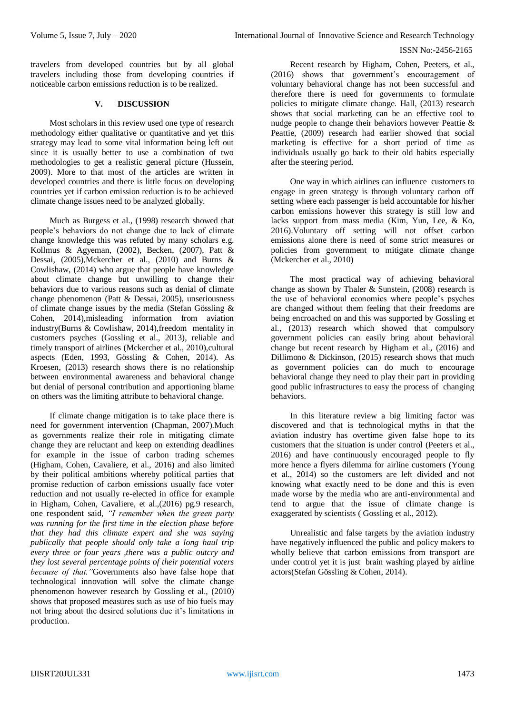travelers from developed countries but by all global travelers including those from developing countries if noticeable carbon emissions reduction is to be realized.

# **V. DISCUSSION**

Most scholars in this review used one type of research methodology either qualitative or quantitative and yet this strategy may lead to some vital information being left out since it is usually better to use a combination of two methodologies to get a realistic general picture (Hussein, 2009). More to that most of the articles are written in developed countries and there is little focus on developing countries yet if carbon emission reduction is to be achieved climate change issues need to be analyzed globally.

Much as Burgess et al., (1998) research showed that people's behaviors do not change due to lack of climate change knowledge this was refuted by many scholars e.g. Kollmus & Agyeman, (2002), Becken, (2007), Patt & Dessai, (2005),Mckercher et al., (2010) and Burns & Cowlishaw, (2014) who argue that people have knowledge about climate change but unwilling to change their behaviors due to various reasons such as denial of climate change phenomenon (Patt & Dessai, 2005), unseriousness of climate change issues by the media (Stefan Gössling & Cohen, 2014),misleading information from aviation industry(Burns & Cowlishaw, 2014),freedom mentality in customers psyches (Gossling et al., 2013), reliable and timely transport of airlines (Mckercher et al., 2010),cultural aspects (Eden, 1993, Gössling & Cohen, 2014). As Kroesen, (2013) research shows there is no relationship between environmental awareness and behavioral change but denial of personal contribution and apportioning blame on others was the limiting attribute to behavioral change.

If climate change mitigation is to take place there is need for government intervention (Chapman, 2007).Much as governments realize their role in mitigating climate change they are reluctant and keep on extending deadlines for example in the issue of carbon trading schemes (Higham, Cohen, Cavaliere, et al., 2016) and also limited by their political ambitions whereby political parties that promise reduction of carbon emissions usually face voter reduction and not usually re-elected in office for example in Higham, Cohen, Cavaliere, et al.,(2016) pg.9 research, one respondent said, *"I remember when the green party was running for the first time in the election phase before that they had this climate expert and she was saying publically that people should only take a long haul trip every three or four years ,there was a public outcry and they lost several percentage points of their potential voters because of that."*Governments also have false hope that technological innovation will solve the climate change phenomenon however research by Gossling et al., (2010) shows that proposed measures such as use of bio fuels may not bring about the desired solutions due it's limitations in production.

Recent research by Higham, Cohen, Peeters, et al., (2016) shows that government's encouragement of voluntary behavioral change has not been successful and therefore there is need for governments to formulate policies to mitigate climate change. Hall, (2013) research shows that social marketing can be an effective tool to nudge people to change their behaviors however Peattie & Peattie, (2009) research had earlier showed that social marketing is effective for a short period of time as individuals usually go back to their old habits especially after the steering period.

One way in which airlines can influence customers to engage in green strategy is through voluntary carbon off setting where each passenger is held accountable for his/her carbon emissions however this strategy is still low and lacks support from mass media (Kim, Yun, Lee, & Ko, 2016).Voluntary off setting will not offset carbon emissions alone there is need of some strict measures or policies from government to mitigate climate change (Mckercher et al., 2010)

The most practical way of achieving behavioral change as shown by Thaler & Sunstein, (2008) research is the use of behavioral economics where people's psyches are changed without them feeling that their freedoms are being encroached on and this was supported by Gossling et al., (2013) research which showed that compulsory government policies can easily bring about behavioral change but recent research by Higham et al., (2016) and Dillimono & Dickinson, (2015) research shows that much as government policies can do much to encourage behavioral change they need to play their part in providing good public infrastructures to easy the process of changing behaviors.

In this literature review a big limiting factor was discovered and that is technological myths in that the aviation industry has overtime given false hope to its customers that the situation is under control (Peeters et al., 2016) and have continuously encouraged people to fly more hence a flyers dilemma for airline customers (Young et al., 2014) so the customers are left divided and not knowing what exactly need to be done and this is even made worse by the media who are anti-environmental and tend to argue that the issue of climate change is exaggerated by scientists ( Gossling et al., 2012).

Unrealistic and false targets by the aviation industry have negatively influenced the public and policy makers to wholly believe that carbon emissions from transport are under control yet it is just brain washing played by airline actors(Stefan Gössling & Cohen, 2014).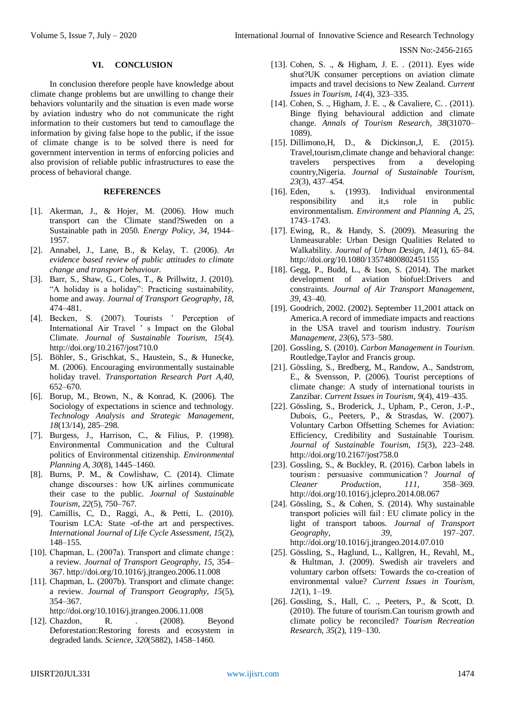#### **VI. CONCLUSION**

In conclusion therefore people have knowledge about climate change problems but are unwilling to change their behaviors voluntarily and the situation is even made worse by aviation industry who do not communicate the right information to their customers but tend to camouflage the information by giving false hope to the public, if the issue of climate change is to be solved there is need for government intervention in terms of enforcing policies and also provision of reliable public infrastructures to ease the process of behavioral change.

## **REFERENCES**

- [1]. Akerman, J., & Hojer, M. (2006). How much transport can the Climate stand?Sweden on a Sustainable path in 2050. *Energy Policy*, *34*, 1944– 1957.
- [2]. Annabel, J., Lane, B., & Kelay, T. (2006). *An evidence based review of public attitudes to climate change and transport behaviour.*
- [3]. Barr, S., Shaw, G., Coles, T., & Prillwitz, J. (2010). "A holiday is a holiday": Practicing sustainability, home and away. *Journal of Transport Geography*, *18*, 474–481.
- [4]. Becken, S. (2007). Tourists ' Perception of International Air Travel ' s Impact on the Global Climate. *Journal of Sustainable Tourism*, *15*(4). http://doi.org/10.2167/jost710.0
- [5]. Böhler, S., Grischkat, S., Haustein, S., & Hunecke, M. (2006). Encouraging environmentally sustainable holiday travel. *Transportation Research Part A,40*, 652–670.
- [6]. Borup, M., Brown, N., & Konrad, K. (2006). The Sociology of expectations in science and technology. *Technology Analysis and Strategic Management*, *18*(13/14), 285–298.
- [7]. Burgess, J., Harrison, C., & Filius, P. (1998). Environmental Communication and the Cultural politics of Environmental citizenship. *Environmental Planning A*, *30*(8), 1445–1460.
- [8]. Burns, P. M., & Cowlishaw, C. (2014). Climate change discourses : how UK airlines communicate their case to the public. *Journal of Sustainable Tourism*, *22*(5), 750–767.
- [9]. Camillis, C, D., Raggi, A., & Petti, L. (2010). Tourism LCA: State -of-the art and perspectives. *International Journal of Life Cycle Assessment*, *15*(2), 148–155.
- [10]. Chapman, L. (2007a). Transport and climate change : a review. *Journal of Transport Geography*, *15*, 354– 367. http://doi.org/10.1016/j.jtrangeo.2006.11.008
- [11]. Chapman, L. (2007b). Transport and climate change: a review. *Journal of Transport Geography*, *15*(5), 354–367.
	- http://doi.org/10.1016/j.jtrangeo.2006.11.008
- [12]. Chazdon, R. (2008). Beyond Deforestation:Restoring forests and ecosystem in degraded lands. *Science*, *320*(5882), 1458–1460.
- [13]. Cohen, S. ., & Higham, J. E. . (2011). Eyes wide shut?UK consumer perceptions on aviation climate impacts and travel decisions to New Zealand. *Current Issues in Tourism*, *14*(4), 323–335.
- [14]. Cohen, S. ., Higham, J. E. ., & Cavaliere, C. . (2011). Binge flying behavioural addiction and climate change. *Annals of Tourism Research*, *38*(31070– 1089).
- [15]. Dillimono,H, D., & Dickinson,J, E. (2015). Travel,tourism,climate change and behavioral change: travelers perspectives from a developing country,Nigeria. *Journal of Sustainable Tourism*, *23*(3), 437–454.
- [16]. Eden, s. (1993). Individual environmental responsibility and it,s role in public environmentalism. *Environment and Planning A*, *25*, 1743–1743.
- [17]. Ewing, R., & Handy, S. (2009). Measuring the Unmeasurable: Urban Design Qualities Related to Walkability. *Journal of Urban Design*, *14*(1), 65–84. http://doi.org/10.1080/13574800802451155
- [18]. Gegg, P., Budd, L., & Ison, S. (2014). The market development of aviation biofuel:Drivers and constraints. *Journal of Air Transport Management*, *39*, 43–40.
- [19]. Goodrich, 2002. (2002). September 11,2001 attack on America.A record of immediate impacts and reactions in the USA travel and tourism industry. *Tourism Management*, *23*(6), 573–580.
- [20]. Gossling, S. (2010). *Carbon Management in Tourism*. Routledge,Taylor and Francis group.
- [21]. Gössling, S., Bredberg, M., Randow, A., Sandstrom, E., & Svensson, P. (2006). Tourist perceptions of climate change: A study of international tourists in Zanzibar. *Current Issues in Tourism*, *9*(4), 419–435.
- [22]. Gössling, S., Broderick, J., Upham, P., Ceron, J.-P., Dubois, G., Peeters, P., & Strasdas, W. (2007). Voluntary Carbon Offsetting Schemes for Aviation: Efficiency, Credibility and Sustainable Tourism. *Journal of Sustainable Tourism*, *15*(3), 223–248. http://doi.org/10.2167/jost758.0
- [23]. Gossling, S., & Buckley, R. (2016). Carbon labels in tourism : persuasive communication ? *Journal of Cleaner Production*, *111*, 358–369. http://doi.org/10.1016/j.jclepro.2014.08.067
- [24]. Gössling, S., & Cohen, S. (2014). Why sustainable transport policies will fail : EU climate policy in the light of transport taboos. *Journal of Transport Geography*, *39*, 197–207. http://doi.org/10.1016/j.jtrangeo.2014.07.010
- [25]. Gössling, S., Haglund, L., Kallgren, H., Revahl, M., & Hultman, J. (2009). Swedish air travelers and voluntary carbon offsets: Towards the co-creation of environmental value? *Current Issues in Tourism*, *12*(1), 1–19.
- [26]. Gossling, S., Hall, C. ., Peeters, P., & Scott, D. (2010). The future of tourism.Can tourism growth and climate policy be reconciled? *Tourism Recreation Research*, *35*(2), 119–130.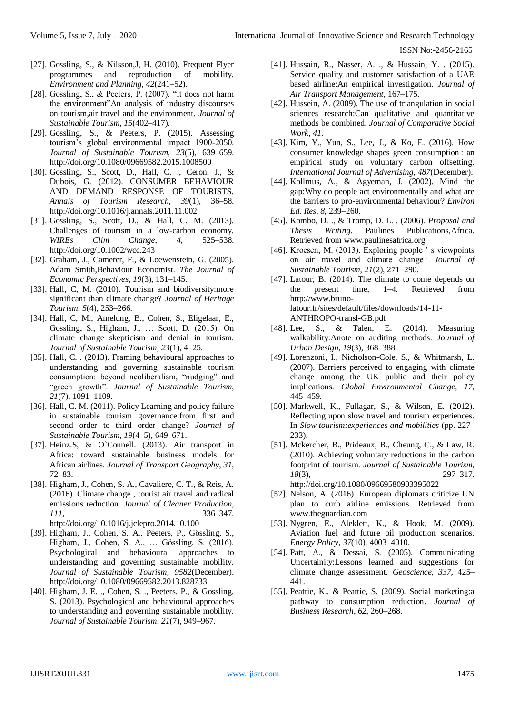- [27]. Gossling, S., & Nilsson, J, H. (2010). Frequent Flyer programmes and reproduction of mobility. *Environment and Planning*, *42*(241–52).
- [28]. Gossling, S., & Peeters, P. (2007). "It does not harm the environment"An analysis of industry discourses on tourism,air travel and the environment. *Journal of Sustainable Tourism*, *15*(402–417).
- [29]. Gossling, S., & Peeters, P. (2015). Assessing tourism's global environmental impact 1900-2050. *Journal of Sustainable Tourism*, *23*(5), 639–659. http://doi.org/10.1080/09669582.2015.1008500
- [30]. Gossling, S., Scott, D., Hall, C. ., Ceron, J., & Dubois, G. (2012). CONSUMER BEHAVIOUR AND DEMAND RESPONSE OF TOURISTS. *Annals of Tourism Research*, *39*(1), 36–58. http://doi.org/10.1016/j.annals.2011.11.002
- [31]. Gossling, S., Scott, D., & Hall, C. M. (2013). Challenges of tourism in a low-carbon economy. *WIREs Clim Change*, *4*, 525–538. http://doi.org/10.1002/wcc.243
- [32]. Graham, J., Camerer, F., & Loewenstein, G. (2005). Adam Smith,Behaviour Economist. *The Journal of Economic Perspectives*, *19*(3), 131–145.
- [33]. Hall, C, M. (2010). Tourism and biodiversity:more significant than climate change? *Journal of Heritage Tourism*, *5*(4), 253–266.
- [34]. Hall, C, M., Amelung, B., Cohen, S., Eligelaar, E., Gossling, S., Higham, J., … Scott, D. (2015). On climate change skepticism and denial in tourism. *Journal of Sustainable Tourism*, *23*(1), 4–25.
- [35]. Hall, C. . (2013). Framing behavioural approaches to understanding and governing sustainable tourism consumption: beyond neoliberalism, "nudging" and "green growth". *Journal of Sustainable Tourism*, *21*(7), 1091–1109.
- [36]. Hall, C. M. (2011). Policy Learning and policy failure in sustainable tourism governance:from first and second order to third order change? *Journal of Sustainable Tourism*, *19*(4–5), 649–671.
- [37]. Heinz.S, & O`Connell. (2013). Air transport in Africa: toward sustainable business models for African airlines. *Journal of Transport Geography*, *31*, 72–83.
- [38]. Higham, J., Cohen, S. A., Cavaliere, C. T., & Reis, A. (2016). Climate change , tourist air travel and radical emissions reduction. *Journal of Cleaner Production*, *111*, 336–347. http://doi.org/10.1016/j.jclepro.2014.10.100
- [39]. Higham, J., Cohen, S. A., Peeters, P., Gössling, S., Higham, J., Cohen, S. A., … Gössling, S. (2016). Psychological and behavioural approaches to understanding and governing sustainable mobility. *Journal of Sustainable Tourism*, *9582*(December). http://doi.org/10.1080/09669582.2013.828733
- [40]. Higham, J. E. ., Cohen, S. ., Peeters, P., & Gossling, S. (2013). Psychological and behavioural approaches to understanding and governing sustainable mobility. *Journal of Sustainable Tourism*, *21*(7), 949–967.
- [41]. Hussain, R., Nasser, A. ., & Hussain, Y. . (2015). Service quality and customer satisfaction of a UAE based airline:An empirical investigation. *Journal of Air Transport Management*, 167–175.
- [42]. Hussein, A. (2009). The use of triangulation in social sciences research:Can qualitative and quantitative methods be combined. *Journal of Comparative Social Work*, *41*.
- [43]. Kim, Y., Yun, S., Lee, J., & Ko, E. (2016). How consumer knowledge shapes green consumption : an empirical study on voluntary carbon offsetting. *International Journal of Advertising*, *487*(December).
- [44]. Kollmus, A., & Agyeman, J. (2002). Mind the gap:Why do people act environmentally and what are the barriers to pro-environmental behaviour? *Environ Ed. Res*, *8*, 239–260.
- [45]. Kombo, D. ., & Tromp, D. L. . (2006). *Proposal and Thesis Writing*. Paulines Publications,Africa. Retrieved from www.paulinesafrica.org
- [46]. Kroesen, M. (2013). Exploring people ' s viewpoints on air travel and climate change : *Journal of Sustainable Tourism*, *21*(2), 271–290.
- [47]. Latour, B. (2014). The climate to come depends on the present time, 1–4. Retrieved from http://www.brunolatour.fr/sites/default/files/downloads/14-11- ANTHROPO-transl-GB.pdf
- [48]. Lee, S., & Talen, E. (2014). Measuring walkability:Anote on auditing methods. *Journal of Urban Design*, *19*(3), 368–388.
- [49]. Lorenzoni, I., Nicholson-Cole, S., & Whitmarsh, L. (2007). Barriers perceived to engaging with climate change among the UK public and their policy implications. *Global Environmental Change*, *17*, 445–459.
- [50]. Markwell, K., Fullagar, S., & Wilson, E. (2012). Reflecting upon slow travel and tourism experiences. In *Slow tourism:experiences and mobilities* (pp. 227– 233).
- [51]. Mckercher, B., Prideaux, B., Cheung, C., & Law, R. (2010). Achieving voluntary reductions in the carbon footprint of tourism. *Journal of Sustainable Tourism*, *18*(3), 297–317. http://doi.org/10.1080/09669580903395022
- [52]. Nelson, A. (2016). European diplomats criticize UN plan to curb airline emissions. Retrieved from www.theguardian.com
- [53]. Nygren, E., Aleklett, K., & Hook, M. (2009). Aviation fuel and future oil production scenarios. *Energy Policy*, *37*(10), 4003–4010.
- [54]. Patt, A., & Dessai, S. (2005). Communicating Uncertainity:Lessons learned and suggestions for climate change assessment. *Geoscience*, *337*, 425– 441.
- [55]. Peattie, K., & Peattie, S. (2009). Social marketing:a pathway to consumption reduction. *Journal of Business Research*, *62*, 260–268.